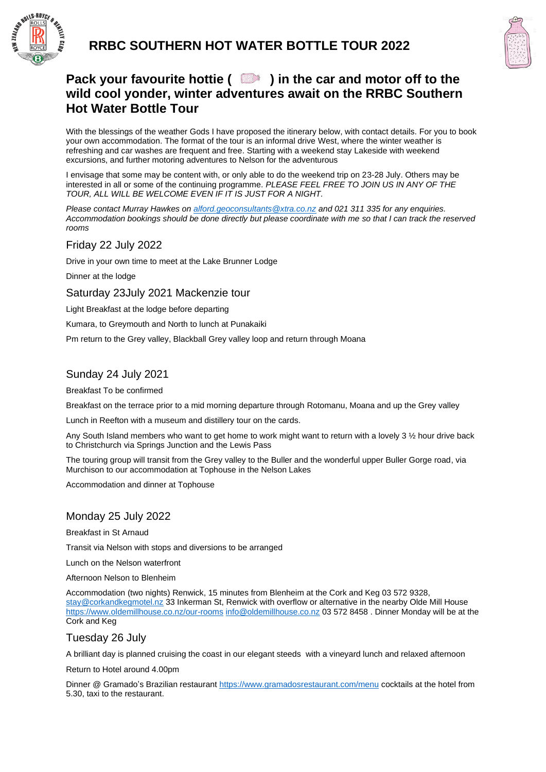



# **Pack your favourite hottie ( ) in the car and motor off to the wild cool yonder, winter adventures await on the RRBC Southern Hot Water Bottle Tour**

With the blessings of the weather Gods I have proposed the itinerary below, with contact details. For you to book your own accommodation. The format of the tour is an informal drive West, where the winter weather is refreshing and car washes are frequent and free. Starting with a weekend stay Lakeside with weekend excursions, and further motoring adventures to Nelson for the adventurous

I envisage that some may be content with, or only able to do the weekend trip on 23-28 July. Others may be interested in all or some of the continuing programme. *PLEASE FEEL FREE TO JOIN US IN ANY OF THE TOUR, ALL WILL BE WELCOME EVEN IF IT IS JUST FOR A NIGHT.*

*Please contact Murray Hawkes on [alford.geoconsultants@xtra.co.nz](mailto:alford.geoconsultants@xtra.co.nz) and 021 311 335 for any enquiries. Accommodation bookings should be done directly but please coordinate with me so that I can track the reserved rooms*

Friday 22 July 2022

Drive in your own time to meet at the Lake Brunner Lodge

Dinner at the lodge

Saturday 23July 2021 Mackenzie tour

Light Breakfast at the lodge before departing

Kumara, to Greymouth and North to lunch at Punakaiki

Pm return to the Grey valley, Blackball Grey valley loop and return through Moana

### Sunday 24 July 2021

Breakfast To be confirmed

Breakfast on the terrace prior to a mid morning departure through Rotomanu, Moana and up the Grey valley

Lunch in Reefton with a museum and distillery tour on the cards.

Any South Island members who want to get home to work might want to return with a lovely 3 ½ hour drive back to Christchurch via Springs Junction and the Lewis Pass

The touring group will transit from the Grey valley to the Buller and the wonderful upper Buller Gorge road, via Murchison to our accommodation at Tophouse in the Nelson Lakes

Accommodation and dinner at Tophouse

### Monday 25 July 2022

Breakfast in St Arnaud

Transit via Nelson with stops and diversions to be arranged

Lunch on the Nelson waterfront

Afternoon Nelson to Blenheim

Accommodation (two nights) Renwick, 15 minutes from Blenheim at the Cork and Keg 03 572 9328, [stay@corkandkegmotel.nz](mailto:stay@corkandkegmotel.nz) 33 Inkerman St, Renwick with overflow or alternative in the nearby Olde Mill House <https://www.oldemillhouse.co.nz/our-rooms> [info@oldemillhouse.co.nz](mailto:info@oldemillhouse.co.nz) 03 572 8458 . Dinner Monday will be at the Cork and Keg

### Tuesday 26 July

A brilliant day is planned cruising the coast in our elegant steeds with a vineyard lunch and relaxed afternoon

Return to Hotel around 4.00pm

Dinner @ Gramado's Brazilian restaurant<https://www.gramadosrestaurant.com/menu> cocktails at the hotel from 5.30, taxi to the restaurant.